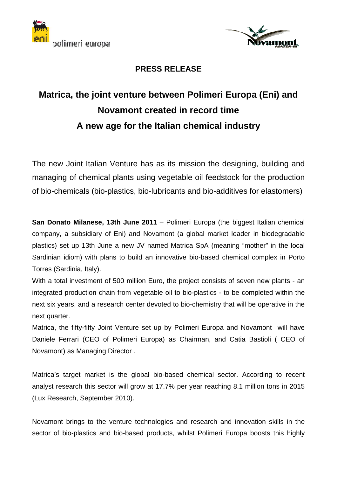



## **PRESS RELEASE**

## **Matrica, the joint venture between Polimeri Europa (Eni) and Novamont created in record time A new age for the Italian chemical industry**

The new Joint Italian Venture has as its mission the designing, building and managing of chemical plants using vegetable oil feedstock for the production of bio-chemicals (bio-plastics, bio-lubricants and bio-additives for elastomers)

**San Donato Milanese, 13th June 2011** – Polimeri Europa (the biggest Italian chemical company, a subsidiary of Eni) and Novamont (a global market leader in biodegradable plastics) set up 13th June a new JV named Matrica SpA (meaning "mother" in the local Sardinian idiom) with plans to build an innovative bio-based chemical complex in Porto Torres (Sardinia, Italy).

With a total investment of 500 million Euro, the project consists of seven new plants - an integrated production chain from vegetable oil to bio-plastics - to be completed within the next six years, and a research center devoted to bio-chemistry that will be operative in the next quarter.

Matrica, the fifty-fifty Joint Venture set up by Polimeri Europa and Novamont will have Daniele Ferrari (CEO of Polimeri Europa) as Chairman, and Catia Bastioli ( CEO of Novamont) as Managing Director .

Matrica's target market is the global bio-based chemical sector. According to recent analyst research this sector will grow at 17.7% per year reaching 8.1 million tons in 2015 (Lux Research, September 2010).

Novamont brings to the venture technologies and research and innovation skills in the sector of bio-plastics and bio-based products, whilst Polimeri Europa boosts this highly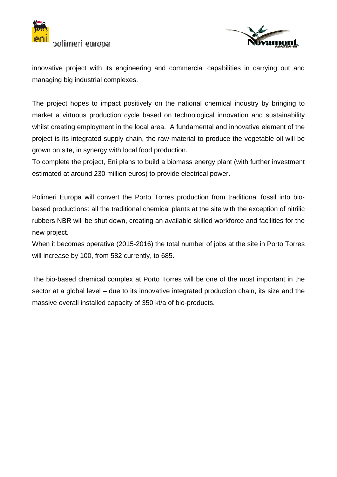



innovative project with its engineering and commercial capabilities in carrying out and managing big industrial complexes.

The project hopes to impact positively on the national chemical industry by bringing to market a virtuous production cycle based on technological innovation and sustainability whilst creating employment in the local area. A fundamental and innovative element of the project is its integrated supply chain, the raw material to produce the vegetable oil will be grown on site, in synergy with local food production.

To complete the project, Eni plans to build a biomass energy plant (with further investment estimated at around 230 million euros) to provide electrical power.

Polimeri Europa will convert the Porto Torres production from traditional fossil into biobased productions: all the traditional chemical plants at the site with the exception of nitrilic rubbers NBR will be shut down, creating an available skilled workforce and facilities for the new project.

When it becomes operative (2015-2016) the total number of jobs at the site in Porto Torres will increase by 100, from 582 currently, to 685.

The bio-based chemical complex at Porto Torres will be one of the most important in the sector at a global level – due to its innovative integrated production chain, its size and the massive overall installed capacity of 350 kt/a of bio-products.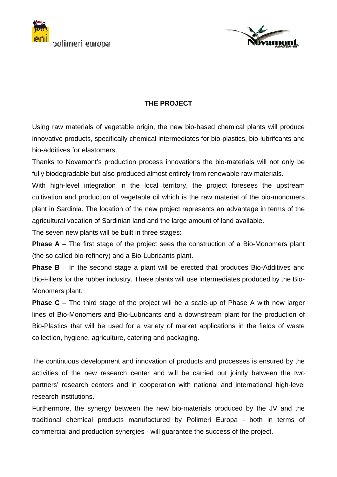



## **THE PROJECT**

Using raw materials of vegetable origin, the new bio-based chemical plants will produce innovative products, specifically chemical intermediates for bio-plastics, bio-lubrifcants and bio-additives for elastomers.

Thanks to Novamont's production process innovations the bio-materials will not only be fully biodegradable but also produced almost entirely from renewable raw materials.

With high-level integration in the local territory, the project foresees the upstream cultivation and production of vegetable oil which is the raw material of the bio-monomers plant in Sardinia. The location of the new project represents an advantage in terms of the agricultural vocation of Sardinian land and the large amount of land available.

The seven new plants will be built in three stages:

**Phase A** – The first stage of the project sees the construction of a Bio-Monomers plant (the so called bio-refinery) and a Bio-Lubricants plant.

**Phase B** – In the second stage a plant will be erected that produces Bio-Additives and Bio-Fillers for the rubber industry. These plants will use intermediates produced by the Bio-Monomers plant.

**Phase C** – The third stage of the project will be a scale-up of Phase A with new larger lines of Bio-Monomers and Bio-Lubricants and a downstream plant for the production of Bio-Plastics that will be used for a variety of market applications in the fields of waste collection, hygiene, agriculture, catering and packaging.

The continuous development and innovation of products and processes is ensured by the activities of the new research center and will be carried out jointly between the two partners' research centers and in cooperation with national and international high-level research institutions.

Furthermore, the synergy between the new bio-materials produced by the JV and the traditional chemical products manufactured by Polimeri Europa - both in terms of commercial and production synergies - will guarantee the success of the project.